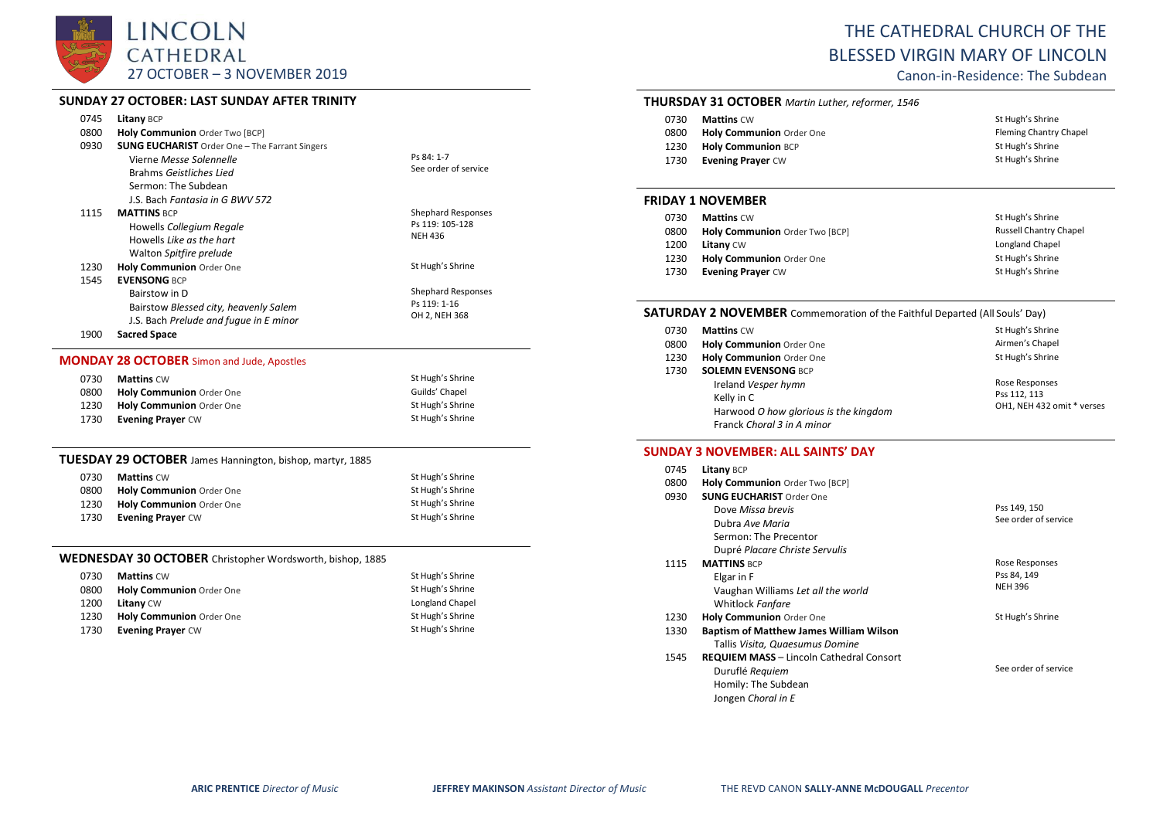

# **SUNDAY 27 OCTOBER: LAST SUNDAY AFTER TRINITY**

| 0745 | Litany BCP                                            |                           |
|------|-------------------------------------------------------|---------------------------|
| 0800 | Holy Communion Order Two [BCP]                        |                           |
| 0930 | <b>SUNG EUCHARIST</b> Order One - The Farrant Singers |                           |
|      | Vierne Messe Solennelle                               | Ps 84: 1-7                |
|      | Brahms Geistliches Lied                               | See order of service      |
|      | Sermon: The Subdean                                   |                           |
|      | J.S. Bach Fantasia in G BWV 572                       |                           |
| 1115 | <b>MATTINS BCP</b>                                    | <b>Shephard Responses</b> |
|      | Howells Collegium Regale                              | Ps 119: 105-128           |
|      | Howells Like as the hart                              | <b>NEH 436</b>            |
|      | Walton Spitfire prelude                               |                           |
| 1230 | <b>Holy Communion Order One</b>                       | St Hugh's Shrine          |
| 1545 | <b>EVENSONG BCP</b>                                   |                           |
|      | Bairstow in D                                         | <b>Shephard Responses</b> |
|      | Bairstow Blessed city, heavenly Salem                 | Ps 119: 1-16              |
|      | J.S. Bach Prelude and fugue in E minor                | OH 2, NEH 368             |
|      |                                                       |                           |

1900 **Sacred Space**

### **MONDAY 28 OCTOBER** Simon and Jude, Apostles

| 0730 | <b>Mattins</b> CW               | St Hugh's Shrine |
|------|---------------------------------|------------------|
| 0800 | <b>Holy Communion</b> Order One | Guilds' Chapel   |
| 1230 | Holy Communion Order One        | St Hugh's Shrine |
| 1730 | <b>Evening Prayer CW</b>        | St Hugh's Shrine |

#### **TUESDAY 29 OCTOBER** James Hannington, bishop, martyr, 1885

| 0730 | <b>Mattins</b> CW        | St Hugh's Shrine |
|------|--------------------------|------------------|
| 0800 | Holy Communion Order One | St Hugh's Shrine |
| 1230 | Holy Communion Order One | St Hugh's Shrine |
| 1730 | <b>Evening Prayer CW</b> | St Hugh's Shrine |

# **WEDNESDAY 30 OCTOBER** Christopher Wordsworth, bishop, 1885

| 0730 | <b>Mattins CW</b>        | St Hugh's Shrine |
|------|--------------------------|------------------|
| 0800 | Holy Communion Order One | St Hugh's Shrine |
| 1200 | <b>Litany CW</b>         | Longland Chapel  |
| 1230 | Holy Communion Order One | St Hugh's Shrine |
| 1730 | <b>Evening Prayer CW</b> | St Hugh's Shrine |

# THE CATHEDRAL CHURCH OF THE BLESSED VIRGIN MARY OF LINCOLN

Canon-in-Residence: The Subdean

### **THURSDAY 31 OCTOBER** *Martin Luther, reformer, 1546*

| 0730 | <b>Mattins CW</b>               | St Hugh's Shrine       |
|------|---------------------------------|------------------------|
| 0800 | <b>Holy Communion Order One</b> | Fleming Chantry Chapel |
| 1230 | <b>Holy Communion BCP</b>       | St Hugh's Shrine       |
| 1730 | <b>Evening Prayer CW</b>        | St Hugh's Shrine       |

#### **FRIDAY 1 NOVEMBER**

| 0730 | <b>Mattins CW</b>              | St Hugh's Shrine              |
|------|--------------------------------|-------------------------------|
| 0800 | Holy Communion Order Two [BCP] | <b>Russell Chantry Chapel</b> |
| 1200 | <b>Litany CW</b>               | Longland Chapel               |
| 1230 | Holy Communion Order One       | St Hugh's Shrine              |
| 1730 | <b>Evening Prayer CW</b>       | St Hugh's Shrine              |

# **SATURDAY 2 NOVEMBER** Commemoration of the Faithful Departed (All Souls' Day)

| 0730 | <b>Mattins CW</b>                     | St Hugh's Shrine           |
|------|---------------------------------------|----------------------------|
| 0800 | Holy Communion Order One              | Airmen's Chapel            |
| 1230 | Holy Communion Order One              | St Hugh's Shrine           |
| 1730 | <b>SOLEMN EVENSONG BCP</b>            |                            |
|      | Ireland Vesper hymn                   | Rose Responses             |
|      | Kelly in C                            | Pss 112, 113               |
|      | Harwood O how glorious is the kingdom | OH1, NEH 432 omit * verses |
|      | Franck Choral 3 in A minor            |                            |

#### **SUNDAY 3 NOVEMBER: ALL SAINTS' DAY**

| 0745 | <b>Litany BCP</b>                               |                      |
|------|-------------------------------------------------|----------------------|
| 0800 | Holy Communion Order Two [BCP]                  |                      |
| 0930 | <b>SUNG EUCHARIST Order One</b>                 |                      |
|      | Dove Missa brevis                               | Pss 149, 150         |
|      | Dubra Ave Maria                                 | See order of service |
|      | Sermon: The Precentor                           |                      |
|      | Dupré Placare Christe Servulis                  |                      |
| 1115 | <b>MATTINS BCP</b>                              | Rose Responses       |
|      | Elgar in F                                      | Pss 84, 149          |
|      | Vaughan Williams Let all the world              | <b>NEH 396</b>       |
|      | Whitlock Fanfare                                |                      |
| 1230 | Holy Communion Order One                        | St Hugh's Shrine     |
| 1330 | <b>Baptism of Matthew James William Wilson</b>  |                      |
|      | Tallis Visita, Quaesumus Domine                 |                      |
| 1545 | <b>REQUIEM MASS - Lincoln Cathedral Consort</b> |                      |
|      | Duruflé Requiem                                 | See order of service |
|      | Homily: The Subdean                             |                      |
|      | Jongen Choral in E                              |                      |